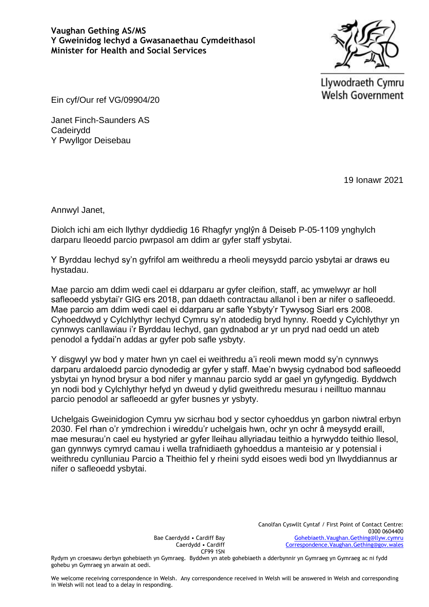

Llywodraeth Cymru **Welsh Government** 

Ein cyf/Our ref VG/09904/20

Janet Finch-Saunders AS Cadeirydd Y Pwyllgor Deisebau

19 Ionawr 2021

Annwyl Janet,

Diolch ichi am eich llythyr dyddiedig 16 Rhagfyr ynglŷn â Deiseb P-05-1109 ynghylch darparu lleoedd parcio pwrpasol am ddim ar gyfer staff ysbytai.

Y Byrddau Iechyd sy'n gyfrifol am weithredu a rheoli meysydd parcio ysbytai ar draws eu hystadau.

Mae parcio am ddim wedi cael ei ddarparu ar gyfer cleifion, staff, ac ymwelwyr ar holl safleoedd ysbytai'r GIG ers 2018, pan ddaeth contractau allanol i ben ar nifer o safleoedd. Mae parcio am ddim wedi cael ei ddarparu ar safle Ysbyty'r Tywysog Siarl ers 2008. Cyhoeddwyd y Cylchlythyr Iechyd Cymru sy'n atodedig bryd hynny. Roedd y Cylchlythyr yn cynnwys canllawiau i'r Byrddau Iechyd, gan gydnabod ar yr un pryd nad oedd un ateb penodol a fyddai'n addas ar gyfer pob safle ysbyty.

Y disgwyl yw bod y mater hwn yn cael ei weithredu a'i reoli mewn modd sy'n cynnwys darparu ardaloedd parcio dynodedig ar gyfer y staff. Mae'n bwysig cydnabod bod safleoedd ysbytai yn hynod brysur a bod nifer y mannau parcio sydd ar gael yn gyfyngedig. Byddwch yn nodi bod y Cylchlythyr hefyd yn dweud y dylid gweithredu mesurau i neilltuo mannau parcio penodol ar safleoedd ar gyfer busnes yr ysbyty.

Uchelgais Gweinidogion Cymru yw sicrhau bod y sector cyhoeddus yn garbon niwtral erbyn 2030. Fel rhan o'r ymdrechion i wireddu'r uchelgais hwn, ochr yn ochr â meysydd eraill, mae mesurau'n cael eu hystyried ar gyfer lleihau allyriadau teithio a hyrwyddo teithio llesol, gan gynnwys cymryd camau i wella trafnidiaeth gyhoeddus a manteisio ar y potensial i weithredu cynlluniau Parcio a Theithio fel y rheini sydd eisoes wedi bod yn llwyddiannus ar nifer o safleoedd ysbytai.

> Canolfan Cyswllt Cyntaf / First Point of Contact Centre: 0300 0604400 [Gohebiaeth.Vaughan.Gething@llyw.cymru](mailto:Gohebiaeth.Vaughan.Gething@llyw.cymru) [Correspondence.Vaughan.Gething@gov.wales](mailto:Correspondence.Vaughan.Gething@gov.wales)

Bae Caerdydd • Cardiff Bay Caerdydd • Cardiff CF99 1SN

Rydym yn croesawu derbyn gohebiaeth yn Gymraeg. Byddwn yn ateb gohebiaeth a dderbynnir yn Gymraeg yn Gymraeg ac ni fydd gohebu yn Gymraeg yn arwain at oedi.

We welcome receiving correspondence in Welsh. Any correspondence received in Welsh will be answered in Welsh and corresponding in Welsh will not lead to a delay in responding.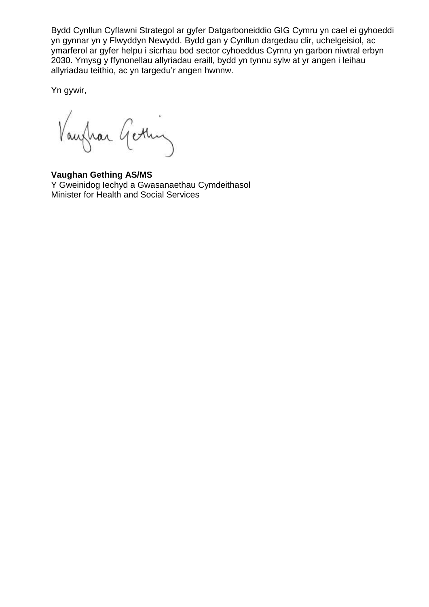Bydd Cynllun Cyflawni Strategol ar gyfer Datgarboneiddio GIG Cymru yn cael ei gyhoeddi yn gynnar yn y Flwyddyn Newydd. Bydd gan y Cynllun dargedau clir, uchelgeisiol, ac ymarferol ar gyfer helpu i sicrhau bod sector cyhoeddus Cymru yn garbon niwtral erbyn 2030. Ymysg y ffynonellau allyriadau eraill, bydd yn tynnu sylw at yr angen i leihau allyriadau teithio, ac yn targedu'r angen hwnnw.

Yn gywir,

Vaughan Getting

**Vaughan Gething AS/MS** Y Gweinidog Iechyd a Gwasanaethau Cymdeithasol Minister for Health and Social Services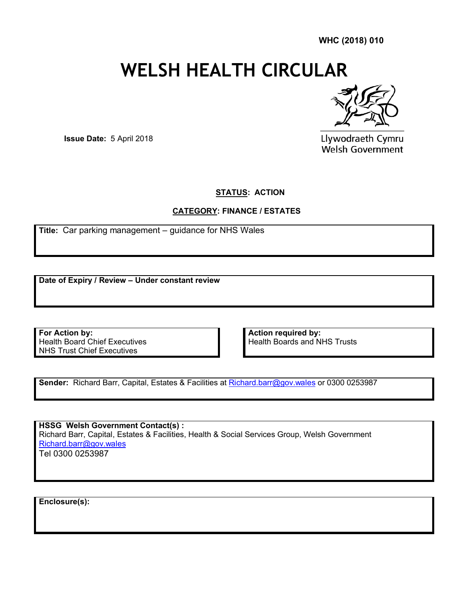**WHC (2018) 010**

# **WELSH HEALTH CIRCULAR**



**Issue Date:** 5 April 2018

Llywodraeth Cymru Welsh Government

**STATUS: ACTION** 

## **CATEGORY: FINANCE / ESTATES**

**Title:** Car parking management – guidance for NHS Wales

**Date of Expiry / Review – Under constant review**

**For Action by:** Health Board Chief Executives NHS Trust Chief Executives

**Action required by:**  Health Boards and NHS Trusts

**Sender:** Richard Barr, Capital, Estates & Facilities at Richard.barr@gov.wales or 0300 0253987

**HSSG Welsh Government Contact(s) :**  [Richard Barr, Capital,](mailto:Richard.barr@gov.wales) Estates & Facilities, Health & Social Services Group, Welsh Government Richard.barr@gov.wales Tel 0300 0253987

**Enclosure(s):**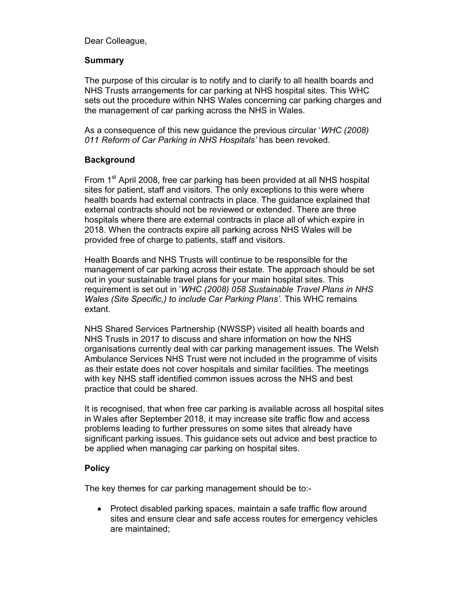Dear Colleague,

## **Summary**

The purpose of this circular is to notify and to clarify to all health boards and NHS Trusts arrangements for car parking at NHS hospital sites. This WHC sets out the procedure within NHS Wales concerning car parking charges and the management of car parking across the NHS in Wales.

As a consequence of this new guidance the previous circular '*WHC (2008) 011 Reform of Car Parking in NHS Hospitals'* has been revoked.

## **Background**

From 1<sup>st</sup> April 2008, free car parking has been provided at all NHS hospital sites for patient, staff and visitors. The only exceptions to this were where health boards had external contracts in place. The guidance explained that external contracts should not be reviewed or extended. There are three hospitals where there are external contracts in place all of which expire in 2018. When the contracts expire all parking across NHS Wales will be provided free of charge to patients, staff and visitors.

Health Boards and NHS Trusts will continue to be responsible for the management of car parking across their estate. The approach should be set out in your sustainable travel plans for your main hospital sites. This requirement is set out in '*WHC (2008) 058 Sustainable Travel Plans in NHS Wales (Site Specific,) to include Car Parking Plans'*. This WHC remains extant.

NHS Shared Services Partnership (NWSSP) visited all health boards and NHS Trusts in 2017 to discuss and share information on how the NHS organisations currently deal with car parking management issues. The Welsh Ambulance Services NHS Trust were not included in the programme of visits as their estate does not cover hospitals and similar facilities. The meetings with key NHS staff identified common issues across the NHS and best practice that could be shared.

It is recognised, that when free car parking is available across all hospital sites in Wales after September 2018, it may increase site traffic flow and access problems leading to further pressures on some sites that already have significant parking issues. This guidance sets out advice and best practice to be applied when managing car parking on hospital sites.

## **Policy**

The key themes for car parking management should be to:-

• Protect disabled parking spaces, maintain a safe traffic flow around sites and ensure clear and safe access routes for emergency vehicles are maintained;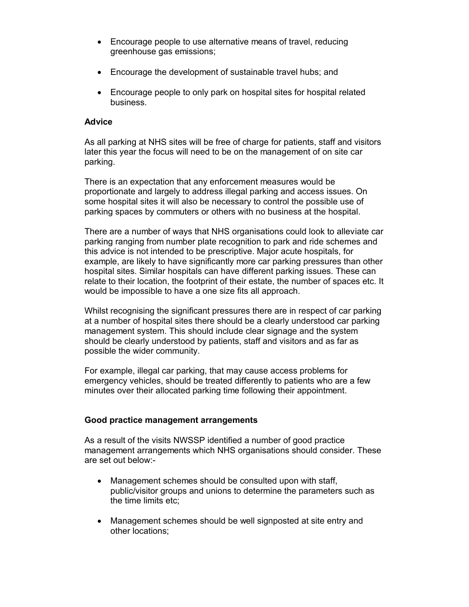- Encourage people to use alternative means of travel, reducing greenhouse gas emissions;
- Encourage the development of sustainable travel hubs; and
- Encourage people to only park on hospital sites for hospital related business.

### **Advice**

As all parking at NHS sites will be free of charge for patients, staff and visitors later this year the focus will need to be on the management of on site car parking.

There is an expectation that any enforcement measures would be proportionate and largely to address illegal parking and access issues. On some hospital sites it will also be necessary to control the possible use of parking spaces by commuters or others with no business at the hospital.

There are a number of ways that NHS organisations could look to alleviate car parking ranging from number plate recognition to park and ride schemes and this advice is not intended to be prescriptive. Major acute hospitals, for example, are likely to have significantly more car parking pressures than other hospital sites. Similar hospitals can have different parking issues. These can relate to their location, the footprint of their estate, the number of spaces etc. It would be impossible to have a one size fits all approach.

Whilst recognising the significant pressures there are in respect of car parking at a number of hospital sites there should be a clearly understood car parking management system. This should include clear signage and the system should be clearly understood by patients, staff and visitors and as far as possible the wider community.

For example, illegal car parking, that may cause access problems for emergency vehicles, should be treated differently to patients who are a few minutes over their allocated parking time following their appointment.

## **Good practice management arrangements**

As a result of the visits NWSSP identified a number of good practice management arrangements which NHS organisations should consider. These are set out below:-

- Management schemes should be consulted upon with staff, public/visitor groups and unions to determine the parameters such as the time limits etc;
- Management schemes should be well signposted at site entry and other locations;